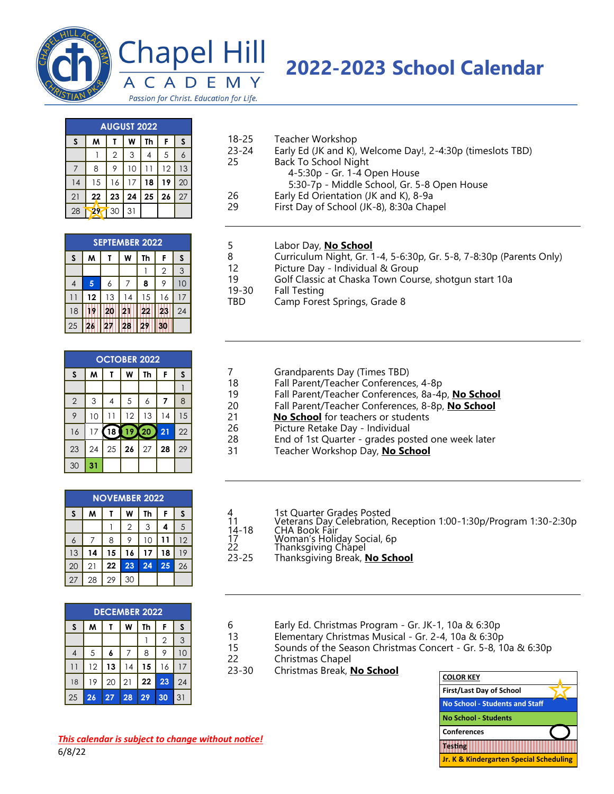

## Chapel Hill M CAD E.

## **-2023 School Calendar**

Passion for Christ. Education for Life.

| <b>AUGUST 2022</b> |    |                |    |    |    |    |  |  |
|--------------------|----|----------------|----|----|----|----|--|--|
| S                  | M  |                | W  | Th | F  | S  |  |  |
|                    |    | $\overline{2}$ | 3  | 4  | 5  | 6  |  |  |
| 7                  | 8  | 9              | 10 | 11 | 12 | 13 |  |  |
| 14                 | 15 | 16             | 17 | 18 | 19 | 20 |  |  |
| 21                 | 22 | 23             | 24 | 25 | 26 | 27 |  |  |
| 28                 |    | 30             | 31 |    |    |    |  |  |

|    | <b>SEPTEMBER 2022</b> |    |    |    |                |    |  |  |
|----|-----------------------|----|----|----|----------------|----|--|--|
| S  | M                     |    | W  | Th | F              | S  |  |  |
|    |                       |    |    |    | $\overline{2}$ | 3  |  |  |
| 4  | 5                     | 6  |    | 8  | 9              | 10 |  |  |
|    | 12                    | 13 | 14 | 15 | 16             |    |  |  |
| 18 |                       | 20 |    | 22 | 23             | 24 |  |  |
| 25 |                       |    |    |    |                |    |  |  |

| <b>OCTOBER 2022</b> |    |    |       |    |    |    |  |
|---------------------|----|----|-------|----|----|----|--|
| $\mathsf{s}$        | W  |    | W     | Th | F  | S  |  |
|                     |    |    |       |    |    |    |  |
| $\overline{2}$      | 3  |    | 5     | 6  | 7  | 8  |  |
| 9                   | 10 | 11 | 12    | 13 | 14 | 15 |  |
| 16                  | 17 | 18 | 19X20 |    | 21 | 22 |  |
| 23                  | 24 | 25 | 26    | 27 | 28 | 29 |  |
| 30                  | 31 |    |       |    |    |    |  |

| <b>NOVEMBER 2022</b> |    |                 |                |    |    |    |  |
|----------------------|----|-----------------|----------------|----|----|----|--|
| S                    | м  |                 | W              | Th | F  | S  |  |
|                      |    |                 | $\overline{2}$ | 3  | 4  | 5  |  |
| 6                    |    | 8               | 9              | 10 |    | 12 |  |
| 13                   | 14 | 15              | 16             | 17 | 18 | 19 |  |
| 20                   | 21 | 22 <sub>1</sub> | 23             | 24 | 25 | 26 |  |
| 27                   | 28 | 29              | 30             |    |    |    |  |

| <b>DECEMBER 2022</b> |    |    |    |    |    |     |  |
|----------------------|----|----|----|----|----|-----|--|
| S                    | м  |    | w  | Th | F  | S   |  |
|                      |    |    |    |    | 2  | 3   |  |
|                      | 5  | 6  |    | 8  |    | 1 C |  |
| -1                   | 12 | 13 | 14 | 15 | 16 |     |  |
| 18                   | 19 | 20 | 21 | 22 | 23 | 24  |  |
| 25                   | 26 | 27 | 28 | 29 | 30 | 31  |  |

## -25 Teacher Workshop

- -24 Early Ed (JK and K), Welcome Day!, 2-4:30p (timeslots TBD) Back To School Night
	- -5:30p Gr. 1-4 Open House

5:30-7p - Middle School, Gr. 5-8 Open House

- Early Ed Orientation (JK and K), 8-9a
- First Day of School (JK-8), 8:30a Chapel
- Labor Day, **No School**
- Curriculum Night, Gr. 1-4, 5-6:30p, Gr. 5-8, 7-8:30p (Parents Only)
- Picture Day Individual & Group
- Golf Classic at Chaska Town Course, shotgun start 10a
- -30 Fall Testing
- TBD Camp Forest Springs, Grade 8
- 7 Grandparents Day (Times TBD)
- Fall Parent/Teacher Conferences, 4-8p
- Fall Parent/Teacher Conferences, 8a-4p, **No School**
- Fall Parent/Teacher Conferences, 8-8p, **No School**
- **No School** for teachers or students
- Picture Retake Day Individual
- End of 1st Quarter grades posted one week later
- Teacher Workshop Day, **No School**
- 4 1st Quarter Grades Posted<br>11 1 Veterans Day Celebration,
- Veterans Day Celebration, Reception 1:00-1:30p/Program 1:30-2:30p
- -18 CHA Book Fair
- 17 Moman's Holiday Social, 6p<br>22 Thanksgiving Chapel
- Thanksgiving Chapel -25 Thanksgiving Break, **No School**
- 6 Early Ed. Christmas Program Gr. JK-1, 10a & 6:30p
- 13 Elementary Christmas Musical Gr. 2-4, 10a & 6:30p
- Sounds of the Season Christmas Concert Gr. 5-8, 10a & 6:30p
- Christmas Chapel
- -30 Christmas Break, **No School**